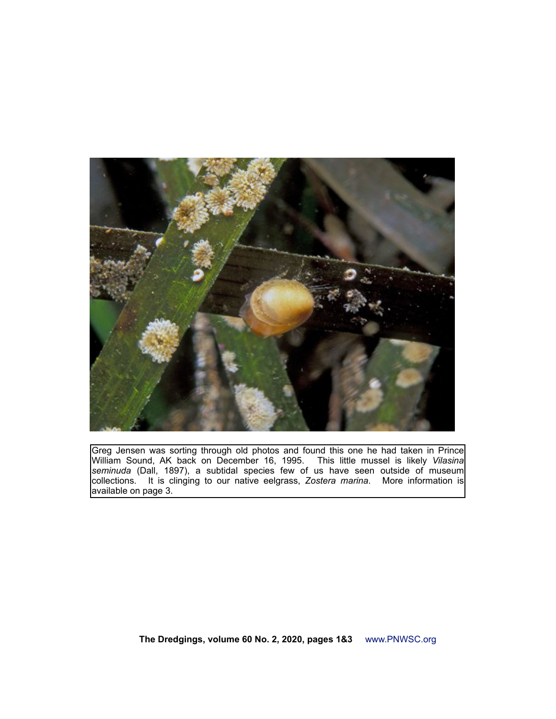

Greg Jensen was sorting through old photos and found this one he had taken in Prince William Sound, AK back on December 16, 1995. This little mussel is likely *Vilasina seminuda* (Dall, 1897), a subtidal species few of us have seen outside of museum collections. It is clinging to our native eelgrass, *Zostera marina*. More information is available on page 3.